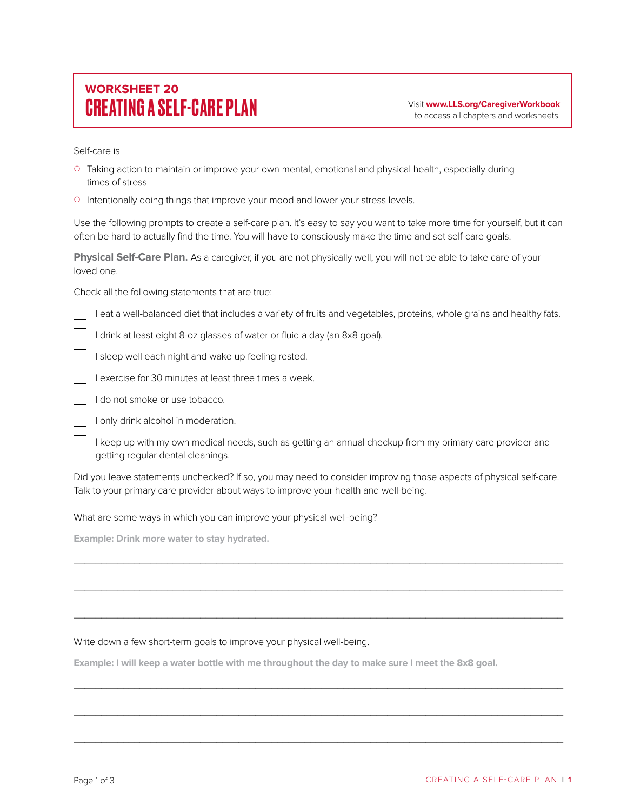## **WORKSHEET 20** CREATING A SELF-CARE PLAN Visit **www.LLS.org/CaregiverWorkbook**

to access all chapters and worksheets.

Self-care is

- { Taking action to maintain or improve your own mental, emotional and physical health, especially during times of stress
- $\circ$  Intentionally doing things that improve your mood and lower your stress levels.

Use the following prompts to create a self-care plan. It's easy to say you want to take more time for yourself, but it can often be hard to actually find the time. You will have to consciously make the time and set self-care goals.

**Physical Self-Care Plan.** As a caregiver, if you are not physically well, you will not be able to take care of your loved one.

Check all the following statements that are true:

I eat a well-balanced diet that includes a variety of fruits and vegetables, proteins, whole grains and healthy fats.

- I drink at least eight 8-oz glasses of water or fluid a day (an 8x8 goal).
- I sleep well each night and wake up feeling rested.
- I exercise for 30 minutes at least three times a week.
- I do not smoke or use tobacco.
- I only drink alcohol in moderation.
- I keep up with my own medical needs, such as getting an annual checkup from my primary care provider and getting regular dental cleanings.

Did you leave statements unchecked? If so, you may need to consider improving those aspects of physical self-care. Talk to your primary care provider about ways to improve your health and well-being.

\_\_\_\_\_\_\_\_\_\_\_\_\_\_\_\_\_\_\_\_\_\_\_\_\_\_\_\_\_\_\_\_\_\_\_\_\_\_\_\_\_\_\_\_\_\_\_\_\_\_\_\_\_\_\_\_\_\_\_\_\_\_\_\_\_\_\_\_\_\_\_\_\_\_\_\_\_\_\_\_\_\_\_\_\_\_\_\_\_

\_\_\_\_\_\_\_\_\_\_\_\_\_\_\_\_\_\_\_\_\_\_\_\_\_\_\_\_\_\_\_\_\_\_\_\_\_\_\_\_\_\_\_\_\_\_\_\_\_\_\_\_\_\_\_\_\_\_\_\_\_\_\_\_\_\_\_\_\_\_\_\_\_\_\_\_\_\_\_\_\_\_\_\_\_\_\_\_\_

\_\_\_\_\_\_\_\_\_\_\_\_\_\_\_\_\_\_\_\_\_\_\_\_\_\_\_\_\_\_\_\_\_\_\_\_\_\_\_\_\_\_\_\_\_\_\_\_\_\_\_\_\_\_\_\_\_\_\_\_\_\_\_\_\_\_\_\_\_\_\_\_\_\_\_\_\_\_\_\_\_\_\_\_\_\_\_\_\_

\_\_\_\_\_\_\_\_\_\_\_\_\_\_\_\_\_\_\_\_\_\_\_\_\_\_\_\_\_\_\_\_\_\_\_\_\_\_\_\_\_\_\_\_\_\_\_\_\_\_\_\_\_\_\_\_\_\_\_\_\_\_\_\_\_\_\_\_\_\_\_\_\_\_\_\_\_\_\_\_\_\_\_\_\_\_\_\_\_

\_\_\_\_\_\_\_\_\_\_\_\_\_\_\_\_\_\_\_\_\_\_\_\_\_\_\_\_\_\_\_\_\_\_\_\_\_\_\_\_\_\_\_\_\_\_\_\_\_\_\_\_\_\_\_\_\_\_\_\_\_\_\_\_\_\_\_\_\_\_\_\_\_\_\_\_\_\_\_\_\_\_\_\_\_\_\_\_\_

\_\_\_\_\_\_\_\_\_\_\_\_\_\_\_\_\_\_\_\_\_\_\_\_\_\_\_\_\_\_\_\_\_\_\_\_\_\_\_\_\_\_\_\_\_\_\_\_\_\_\_\_\_\_\_\_\_\_\_\_\_\_\_\_\_\_\_\_\_\_\_\_\_\_\_\_\_\_\_\_\_\_\_\_\_\_\_\_\_

What are some ways in which you can improve your physical well-being?

**Example: Drink more water to stay hydrated.**

## Write down a few short-term goals to improve your physical well-being.

**Example: I will keep a water bottle with me throughout the day to make sure I meet the 8x8 goal.**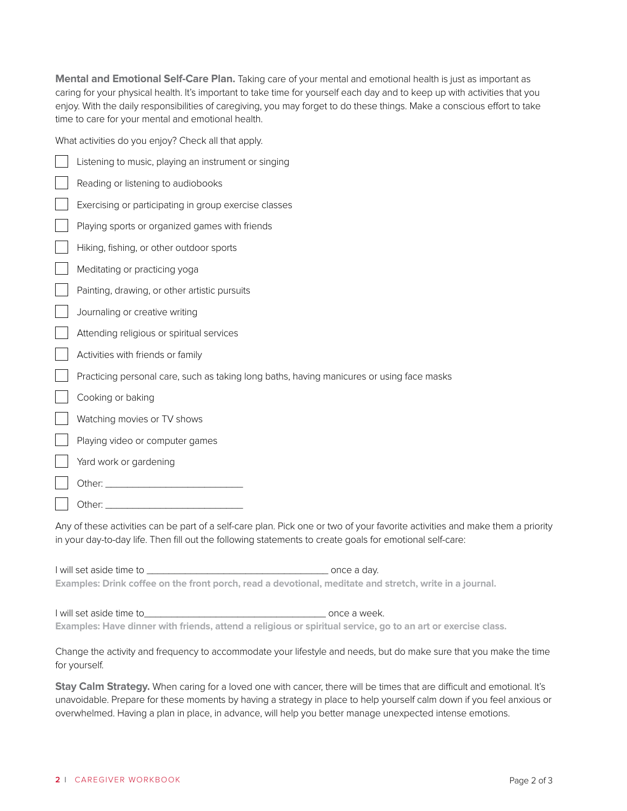**Mental and Emotional Self-Care Plan.** Taking care of your mental and emotional health is just as important as caring for your physical health. It's important to take time for yourself each day and to keep up with activities that you enjoy. With the daily responsibilities of caregiving, you may forget to do these things. Make a conscious effort to take time to care for your mental and emotional health.

What activities do you enjoy? Check all that apply.

| Listening to music, playing an instrument or singing                                                                          |
|-------------------------------------------------------------------------------------------------------------------------------|
| Reading or listening to audiobooks                                                                                            |
| Exercising or participating in group exercise classes                                                                         |
| Playing sports or organized games with friends                                                                                |
| Hiking, fishing, or other outdoor sports                                                                                      |
| Meditating or practicing yoga                                                                                                 |
| Painting, drawing, or other artistic pursuits                                                                                 |
| Journaling or creative writing                                                                                                |
| Attending religious or spiritual services                                                                                     |
| Activities with friends or family                                                                                             |
| Practicing personal care, such as taking long baths, having manicures or using face masks                                     |
| Cooking or baking                                                                                                             |
| Watching movies or TV shows                                                                                                   |
| Playing video or computer games                                                                                               |
| Yard work or gardening                                                                                                        |
| Other: <u>www.community.community.community.com</u>                                                                           |
|                                                                                                                               |
| Any of these activities can be part of a self-care plan. Pick one or two of your favorite activities and make them a priority |

in your day-to-day life. Then fill out the following statements to create goals for emotional self-care:

I will set aside time to \_\_\_\_\_\_\_\_\_\_\_\_\_\_\_\_\_\_\_\_\_\_\_\_\_\_\_\_\_\_\_\_\_ once a day. **Examples: Drink coffee on the front porch, read a devotional, meditate and stretch, write in a journal.** 

| I will set aside time to | once a week.                                                                                                 |
|--------------------------|--------------------------------------------------------------------------------------------------------------|
|                          | Examples: Have dinner with friends, attend a religious or spiritual service, go to an art or exercise class. |

Change the activity and frequency to accommodate your lifestyle and needs, but do make sure that you make the time for yourself.

Stay Calm Strategy. When caring for a loved one with cancer, there will be times that are difficult and emotional. It's unavoidable. Prepare for these moments by having a strategy in place to help yourself calm down if you feel anxious or overwhelmed. Having a plan in place, in advance, will help you better manage unexpected intense emotions.